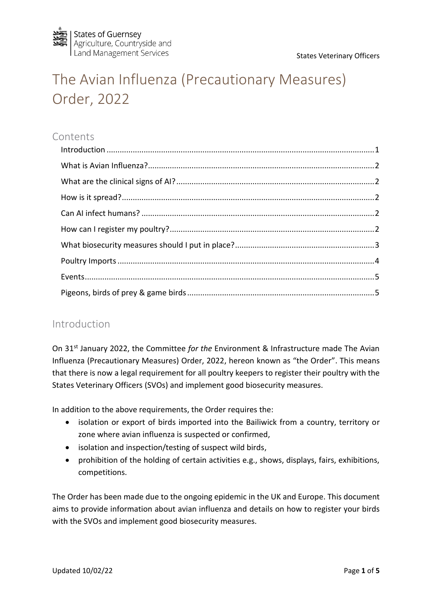

# The Avian Influenza (Precautionary Measures) Order, 2022

# Contents

## <span id="page-0-0"></span>Introduction

On 31<sup>st</sup> January 2022, the Committee *for the* Environment & Infrastructure made The Avian Influenza (Precautionary Measures) Order, 2022, hereon known as "the Order". This means that there is now a legal requirement for all poultry keepers to register their poultry with the States Veterinary Officers (SVOs) and implement good biosecurity measures.

In addition to the above requirements, the Order requires the:

- isolation or export of birds imported into the Bailiwick from a country, territory or zone where avian influenza is suspected or confirmed,
- isolation and inspection/testing of suspect wild birds,
- prohibition of the holding of certain activities e.g., shows, displays, fairs, exhibitions, competitions.

The Order has been made due to the ongoing epidemic in the UK and Europe. This document aims to provide information about avian influenza and details on how to register your birds with the SVOs and implement good biosecurity measures.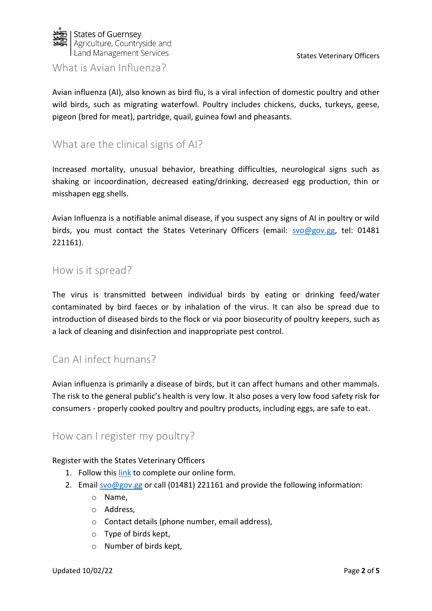

#### <span id="page-1-0"></span>What is Avian Influenza?

Avian influenza (AI), also known as bird flu, is a viral infection of domestic poultry and other wild birds, such as migrating waterfowl. Poultry includes chickens, ducks, turkeys, geese, pigeon (bred for meat), partridge, quail, guinea fowl and pheasants.

# <span id="page-1-1"></span>What are the clinical signs of AI?

Increased mortality, unusual behavior, breathing difficulties, neurological signs such as shaking or incoordination, decreased eating/drinking, decreased egg production, thin or misshapen egg shells.

Avian Influenza is a notifiable animal disease, if you suspect any signs of AI in poultry or wild birds, you must contact the States Veterinary Officers (email: [svo@gov.gg,](mailto:svo@gov.gg) tel: 01481 221161).

#### <span id="page-1-2"></span>How is it spread?

The virus is transmitted between individual birds by eating or drinking feed/water contaminated by bird faeces or by inhalation of the virus. It can also be spread due to introduction of diseased birds to the flock or via poor biosecurity of poultry keepers, such as a lack of cleaning and disinfection and inappropriate pest control.

## <span id="page-1-3"></span>Can AI infect humans?

Avian influenza is primarily a disease of birds, but it can affect humans and other mammals. The risk to the general public's health is very low. It also poses a very low food safety risk for consumers - properly cooked poultry and poultry products, including eggs, are safe to eat.

#### <span id="page-1-4"></span>How can I register my poultry?

#### Register with the States Veterinary Officers

- 1. Follow this [link](https://forms.office.com/r/5AjfyfjSSG) to complete our online form.
- 2. Email [svo@gov.gg](mailto:svo@gov.gg) or call (01481) 221161 and provide the following information:
	- o Name,
	- o Address,
	- o Contact details (phone number, email address),
	- o Type of birds kept,
	- o Number of birds kept,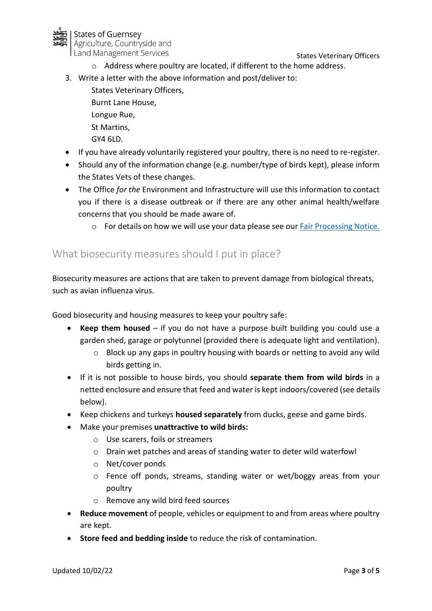

- o Address where poultry are located, if different to the home address.
- 3. Write a letter with the above information and post/deliver to:
	- States Veterinary Officers, Burnt Lane House, Longue Rue, St Martins, GY4 6LD.
- If you have already voluntarily registered your poultry, there is no need to re-register.
- Should any of the information change (e.g. number/type of birds kept), please inform the States Vets of these changes.
- The Office *for the* Environment and Infrastructure will use this information to contact you if there is a disease outbreak or if there are any other animal health/welfare concerns that you should be made aware of.
	- o For details on how we will use your data please see our [Fair Processing Notice.](https://gov.gg/CHttpHandler.ashx?id=131032&p=0)

# <span id="page-2-0"></span>What biosecurity measures should I put in place?

Biosecurity measures are actions that are taken to prevent damage from biological threats, such as avian influenza virus.

Good biosecurity and housing measures to keep your poultry safe:

- **Keep them housed** if you do not have a purpose built building you could use a garden shed, garage or polytunnel (provided there is adequate light and ventilation).
	- o Block up any gaps in poultry housing with boards or netting to avoid any wild birds getting in.
- If it is not possible to house birds, you should **separate them from wild birds** in a netted enclosure and ensure that feed and water is kept indoors/covered (see details below).
- Keep chickens and turkeys **housed separately** from ducks, geese and game birds.
- Make your premises **unattractive to wild birds:**
	- o Use scarers, foils or streamers
	- o Drain wet patches and areas of standing water to deter wild waterfowl
	- o Net/cover ponds
	- o Fence off ponds, streams, standing water or wet/boggy areas from your poultry
	- o Remove any wild bird feed sources
- **Reduce movement** of people, vehicles or equipment to and from areas where poultry are kept.
- **Store feed and bedding inside** to reduce the risk of contamination.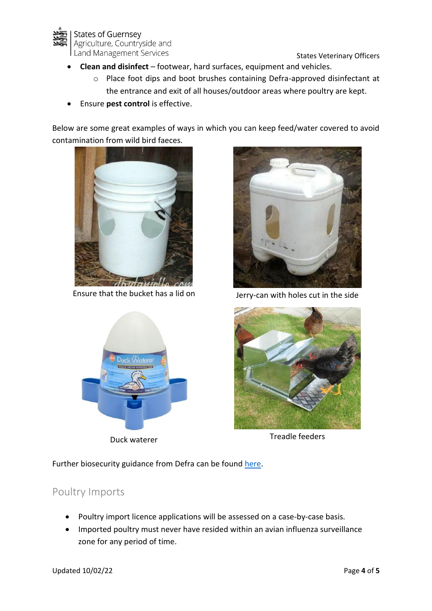

- **Clean and disinfect**  footwear, hard surfaces, equipment and vehicles.
	- o Place foot dips and boot brushes containing Defra-approved disinfectant at the entrance and exit of all houses/outdoor areas where poultry are kept.
- Ensure **pest control** is effective.

Below are some great examples of ways in which you can keep feed/water covered to avoid contamination from wild bird faeces.



Ensure that the bucket has a lid on Jerry-can with holes cut in the side







Duck waterer Treadle feeders

Further biosecurity guidance from Defra can be found [here.](https://gov.gg/CHttpHandler.ashx?id=134025&p=0)

# <span id="page-3-0"></span>Poultry Imports

- Poultry import licence applications will be assessed on a case-by-case basis.
- Imported poultry must never have resided within an avian influenza surveillance zone for any period of time.